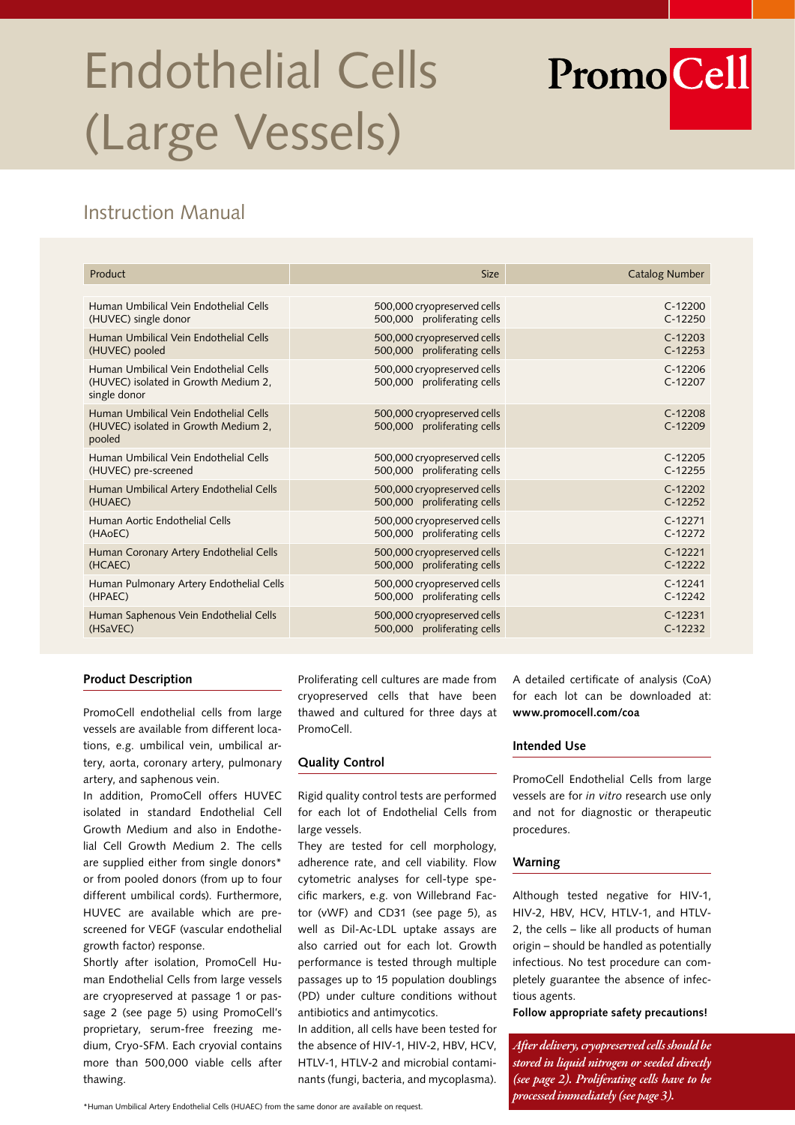# Endothelial Cells (Large Vessels)

# Instruction Manual

| Product                                                                                        | <b>Size</b>                                                | <b>Catalog Number</b>  |
|------------------------------------------------------------------------------------------------|------------------------------------------------------------|------------------------|
|                                                                                                |                                                            |                        |
| Human Umbilical Vein Endothelial Cells                                                         | 500,000 cryopreserved cells                                | $C-12200$              |
| (HUVEC) single donor                                                                           | 500,000 proliferating cells                                | $C-12250$              |
| Human Umbilical Vein Endothelial Cells                                                         | 500,000 cryopreserved cells                                | $C-12203$              |
| (HUVEC) pooled                                                                                 | 500,000 proliferating cells                                | $C-12253$              |
| Human Umbilical Vein Endothelial Cells<br>(HUVEC) isolated in Growth Medium 2.<br>single donor | 500,000 cryopreserved cells<br>500,000 proliferating cells | $C-12206$<br>$C-12207$ |
| Human Umbilical Vein Endothelial Cells<br>(HUVEC) isolated in Growth Medium 2.<br>pooled       | 500,000 cryopreserved cells<br>500,000 proliferating cells | $C-12208$<br>$C-12209$ |
| Human Umbilical Vein Endothelial Cells                                                         | 500,000 cryopreserved cells                                | $C-12205$              |
| (HUVEC) pre-screened                                                                           | 500,000 proliferating cells                                | $C-12255$              |
| Human Umbilical Artery Endothelial Cells                                                       | 500,000 cryopreserved cells                                | $C-12202$              |
| (HUAEC)                                                                                        | 500,000 proliferating cells                                | $C-12252$              |
| Human Aortic Endothelial Cells                                                                 | 500,000 cryopreserved cells                                | $C-12271$              |
| (HAOEC)                                                                                        | 500,000 proliferating cells                                | $C-12272$              |
| Human Coronary Artery Endothelial Cells                                                        | 500,000 cryopreserved cells                                | $C-12221$              |
| (HCAEC)                                                                                        | 500,000 proliferating cells                                | $C-12222$              |
| Human Pulmonary Artery Endothelial Cells                                                       | 500,000 cryopreserved cells                                | $C-12241$              |
| (HPAEC)                                                                                        | 500,000 proliferating cells                                | $C-12242$              |
| Human Saphenous Vein Endothelial Cells                                                         | 500,000 cryopreserved cells                                | $C-12231$              |
| (HSaVEC)                                                                                       | 500,000 proliferating cells                                | $C-12232$              |

#### **Product Description**

PromoCell endothelial cells from large vessels are available from different locations, e.g. umbilical vein, umbilical artery, aorta, coronary artery, pulmonary artery, and saphenous vein.

In addition, PromoCell offers HUVEC isolated in standard Endothelial Cell Growth Medium and also in Endothelial Cell Growth Medium 2. The cells are supplied either from single donors\* or from pooled donors (from up to four different umbilical cords). Furthermore, HUVEC are available which are prescreened for VEGF (vascular endothelial growth factor) response.

Shortly after isolation, PromoCell Human Endothelial Cells from large vessels are cryopreserved at passage 1 or passage 2 (see page 5) using PromoCell's proprietary, serum-free freezing medium, Cryo-SFM. Each cryovial contains more than 500,000 viable cells after thawing.

Proliferating cell cultures are made from cryopreserved cells that have been thawed and cultured for three days at PromoCell.

#### **Quality Control**

Rigid quality control tests are performed for each lot of Endothelial Cells from large vessels.

They are tested for cell morphology, adherence rate, and cell viability. Flow cytometric analyses for cell-type specific markers, e.g. von Willebrand Factor (vWF) and CD31 (see page 5), as well as Dil-Ac-LDL uptake assays are also carried out for each lot. Growth performance is tested through multiple passages up to 15 population doublings (PD) under culture conditions without antibiotics and antimycotics.

In addition, all cells have been tested for the absence of HIV-1, HIV-2, HBV, HCV, HTLV-1, HTLV-2 and microbial contaminants (fungi, bacteria, and mycoplasma). A detailed certificate of analysis (CoA) for each lot can be downloaded at: **www.promocell.com/coa**

**PromoCell** 

#### **Intended Use**

PromoCell Endothelial Cells from large vessels are for *in vitro* research use only and not for diagnostic or therapeutic procedures.

#### **Warning**

Although tested negative for HIV-1, HIV-2, HBV, HCV, HTLV-1, and HTLV-2, the cells – like all products of human origin – should be handled as potentially infectious. No test procedure can completely guarantee the absence of infectious agents.

**Follow appropriate safety precautions!**

*After delivery, cryopreserved cells should be stored in liquid nitrogen or seeded directly (see page 2). Proliferating cells have to be processed immediately (see page 3).*

<sup>\*</sup>Human Umbilical Artery Endothelial Cells (HUAEC) from the same donor are available on request.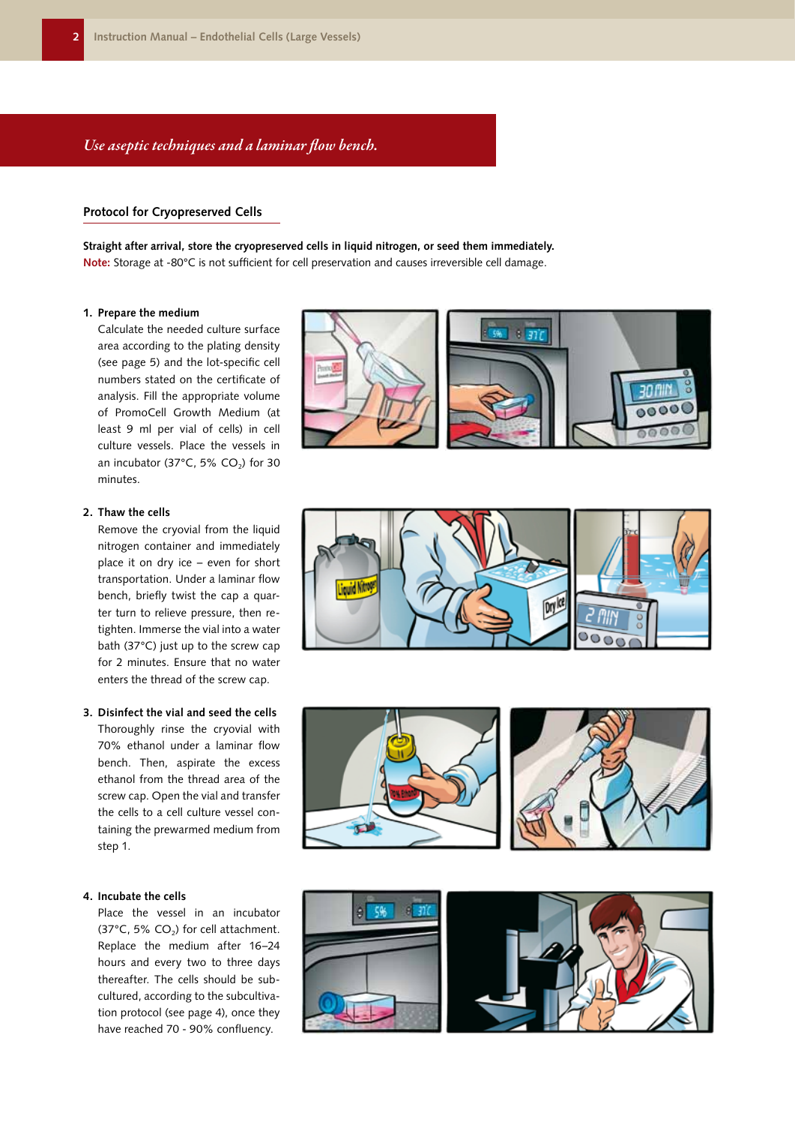# *Use aseptic techniques and a laminar flow bench.*

#### **Protocol for Cryopreserved Cells**

**Straight after arrival, store the cryopreserved cells in liquid nitrogen, or seed them immediately. Note:** Storage at -80°C is not sufficient for cell preservation and causes irreversible cell damage.

#### **1. Prepare the medium**

Calculate the needed culture surface area according to the plating density (see page 5) and the lot-specific cell numbers stated on the certificate of analysis. Fill the appropriate volume of PromoCell Growth Medium (at least 9 ml per vial of cells) in cell culture vessels. Place the vessels in an incubator (37 $^{\circ}$ C, 5% CO<sub>2</sub>) for 30 minutes.



Remove the cryovial from the liquid nitrogen container and immediately place it on dry ice – even for short transportation. Under a laminar flow bench, briefly twist the cap a quarter turn to relieve pressure, then retighten. Immerse the vial into a water bath (37°C) just up to the screw cap for 2 minutes. Ensure that no water enters the thread of the screw cap.

#### **3. Disinfect the vial and seed the cells**

Thoroughly rinse the cryovial with 70% ethanol under a laminar flow bench. Then, aspirate the excess ethanol from the thread area of the screw cap. Open the vial and transfer the cells to a cell culture vessel containing the prewarmed medium from step 1.

#### **4. Incubate the cells**

Place the vessel in an incubator (37 $^{\circ}$ C, 5% CO<sub>2</sub>) for cell attachment. Replace the medium after 16–24 hours and every two to three days thereafter. The cells should be subcultured, according to the subcultivation protocol (see page 4), once they have reached 70 - 90% confluency.









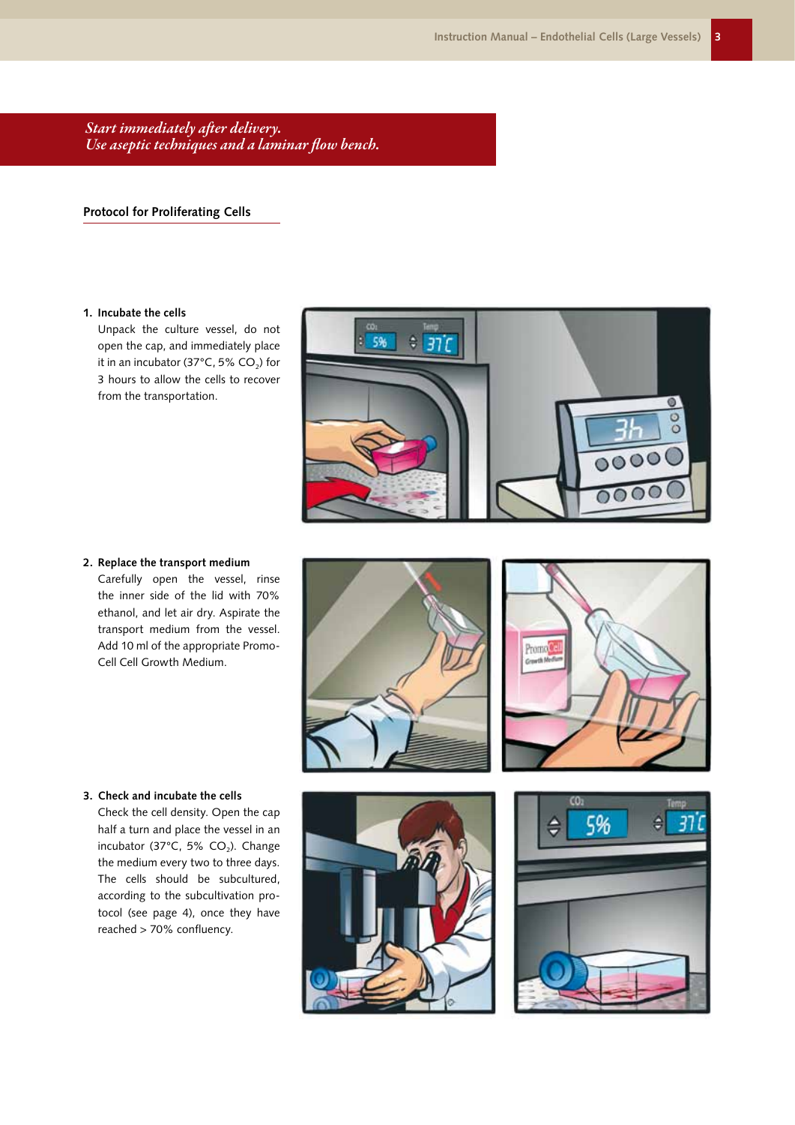*Start immediately after delivery. Use aseptic techniques and a laminar flow bench.*

# **Protocol for Proliferating Cells**

#### **1. Incubate the cells**

Unpack the culture vessel, do not open the cap, and immediately place it in an incubator (37 $^{\circ}$ C, 5% CO<sub>2</sub>) for 3 hours to allow the cells to recover from the transportation.



**2. Replace the transport medium** Carefully open the vessel, rinse the inner side of the lid with 70% ethanol, and let air dry. Aspirate the transport medium from the vessel. Add 10 ml of the appropriate Promo-Cell Cell Growth Medium.





# **3. Check and incubate the cells**

Check the cell density. Open the cap half a turn and place the vessel in an incubator (37 $^{\circ}$ C, 5% CO<sub>2</sub>). Change the medium every two to three days. The cells should be subcultured, according to the subcultivation protocol (see page 4), once they have reached > 70% confluency.



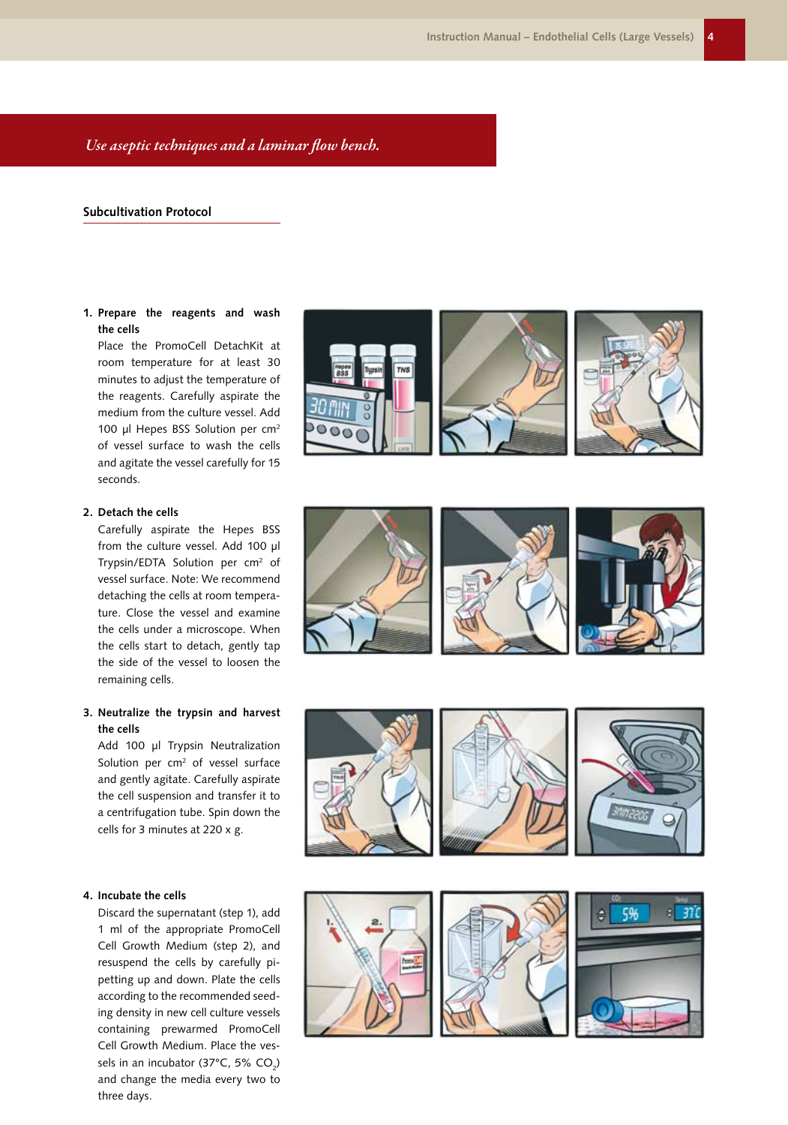#### *Use aseptic techniques and a laminar flow bench.*

#### **Subcultivation Protocol**

#### **1. Prepare the reagents and wash the cells**

Place the PromoCell DetachKit at room temperature for at least 30 minutes to adjust the temperature of the reagents. Carefully aspirate the medium from the culture vessel. Add 100 µl Hepes BSS Solution per cm<sup>2</sup> of vessel surface to wash the cells and agitate the vessel carefully for 15 seconds.

#### **2. Detach the cells**

Carefully aspirate the Hepes BSS from the culture vessel. Add 100 µl Trypsin/EDTA Solution per cm 2 of vessel surface. Note: We recommend detaching the cells at room tempera ture. Close the vessel and examine the cells under a microscope. When the cells start to detach, gently tap the side of the vessel to loosen the remaining cells.

#### **3. Neutralize the trypsin and harvest the cells**

Add 100 µl Trypsin Neutralization Solution per cm<sup>2</sup> of vessel surface and gently agitate. Carefully aspirate the cell suspension and transfer it to a centrifugation tube. Spin down the cells for 3 minutes at 220 x g.

#### **4. Incubate the cells**

Discard the supernatant (step 1), add 1 ml of the appropriate PromoCell Cell Growth Medium (step 2), and resuspend the cells by carefully pi petting up and down. Plate the cells according to the recommended seed ing density in new cell culture vessels containing prewarmed PromoCell Cell Growth Medium. Place the ves sels in an incubator (37°C, 5% CO<sub>2</sub>) and change the media every two to three days.





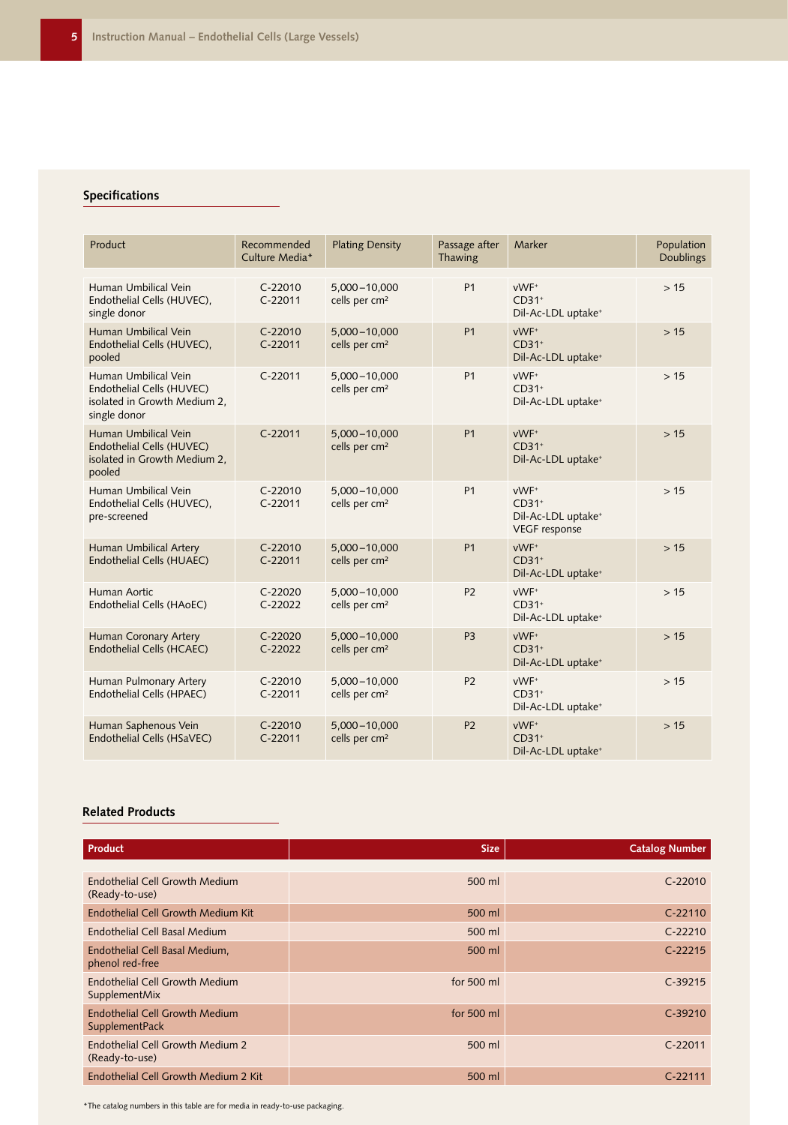# **Specifications**

| Product                                                                                           | Recommended<br>Culture Media* | <b>Plating Density</b>                        | Passage after<br>Thawing | Marker                                                                    | Population<br>Doublings |
|---------------------------------------------------------------------------------------------------|-------------------------------|-----------------------------------------------|--------------------------|---------------------------------------------------------------------------|-------------------------|
| Human Umbilical Vein<br>Endothelial Cells (HUVEC),<br>single donor                                | $C-22010$<br>$C-22011$        | $5,000 - 10,000$<br>cells per cm <sup>2</sup> | <b>P1</b>                | vWF+<br>$CD31+$<br>Dil-Ac-LDL uptake <sup>+</sup>                         | >15                     |
| Human Umbilical Vein<br>Endothelial Cells (HUVEC),<br>pooled                                      | $C-22010$<br>$C-22011$        | $5,000 - 10,000$<br>cells per cm <sup>2</sup> | <b>P1</b>                | vWF <sup>+</sup><br>$CD31+$<br>Dil-Ac-LDL uptake <sup>+</sup>             | >15                     |
| Human Umbilical Vein<br>Endothelial Cells (HUVEC)<br>isolated in Growth Medium 2,<br>single donor | $C-22011$                     | $5,000 - 10,000$<br>cells per cm <sup>2</sup> | <b>P1</b>                | vWF+<br>$CD31+$<br>Dil-Ac-LDL uptake <sup>+</sup>                         | >15                     |
| Human Umbilical Vein<br>Endothelial Cells (HUVEC)<br>isolated in Growth Medium 2,<br>pooled       | $C-22011$                     | 5,000-10,000<br>cells per cm <sup>2</sup>     | P <sub>1</sub>           | vWF <sup>+</sup><br>$CD31+$<br>Dil-Ac-LDL uptake <sup>+</sup>             | >15                     |
| Human Umbilical Vein<br>Endothelial Cells (HUVEC),<br>pre-screened                                | $C-22010$<br>$C-22011$        | $5,000 - 10,000$<br>cells per cm <sup>2</sup> | <b>P1</b>                | vWF+<br>$CD31+$<br>Dil-Ac-LDL uptake <sup>+</sup><br><b>VEGF</b> response | >15                     |
| Human Umbilical Artery<br>Endothelial Cells (HUAEC)                                               | $C-22010$<br>$C-22011$        | 5,000-10,000<br>cells per cm <sup>2</sup>     | P <sub>1</sub>           | vWF+<br>$CD31+$<br>Dil-Ac-LDL uptake <sup>+</sup>                         | >15                     |
| Human Aortic<br>Endothelial Cells (HAoEC)                                                         | $C-22020$<br>$C-22022$        | $5,000 - 10,000$<br>cells per cm <sup>2</sup> | P <sub>2</sub>           | vWF <sup>+</sup><br>$CD31+$<br>Dil-Ac-LDL uptake <sup>+</sup>             | >15                     |
| Human Coronary Artery<br><b>Endothelial Cells (HCAEC)</b>                                         | $C-22020$<br>$C-22022$        | $5,000 - 10,000$<br>cells per cm <sup>2</sup> | P <sub>3</sub>           | vWF <sup>+</sup><br>$CD31+$<br>Dil-Ac-LDL uptake <sup>+</sup>             | >15                     |
| Human Pulmonary Artery<br>Endothelial Cells (HPAEC)                                               | $C-22010$<br>$C-22011$        | 5,000-10,000<br>cells per cm <sup>2</sup>     | P <sub>2</sub>           | vWF+<br>$CD31+$<br>Dil-Ac-LDL uptake <sup>+</sup>                         | >15                     |
| Human Saphenous Vein<br>Endothelial Cells (HSaVEC)                                                | $C-22010$<br>$C-22011$        | $5,000 - 10,000$<br>cells per cm <sup>2</sup> | P <sub>2</sub>           | vWF+<br>$CD31+$<br>Dil-Ac-LDL uptake <sup>+</sup>                         | >15                     |

# **Related Products**

| Product                                                 | <b>Size</b>  | <b>Catalog Number</b> |
|---------------------------------------------------------|--------------|-----------------------|
|                                                         |              |                       |
| Endothelial Cell Growth Medium<br>(Ready-to-use)        | 500 ml       | $C - 22010$           |
| Endothelial Cell Growth Medium Kit                      | 500 ml       | $C - 22110$           |
| Endothelial Cell Basal Medium                           | 500 ml       | $C-22210$             |
| Endothelial Cell Basal Medium,<br>phenol red-free       | 500 ml       | $C-22215$             |
| Endothelial Cell Growth Medium<br>SupplementMix         | for $500$ ml | $C-39215$             |
| <b>Endothelial Cell Growth Medium</b><br>SupplementPack | for $500$ ml | $C-39210$             |
| Endothelial Cell Growth Medium 2<br>(Ready-to-use)      | 500 ml       | $C-22011$             |
| Endothelial Cell Growth Medium 2 Kit                    | 500 ml       | $C - 22111$           |

\*The catalog numbers in this table are for media in ready-to-use packaging.